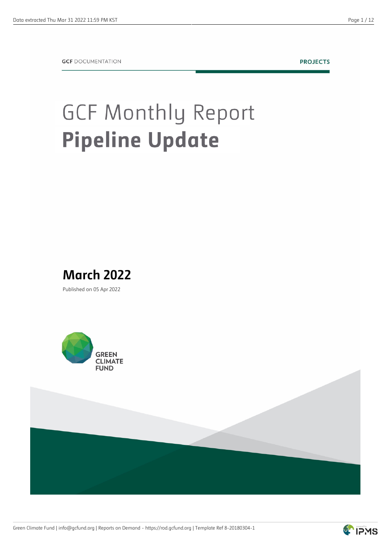**PROJECTS** 

## **GCF Monthly Report Pipeline Update**



Published on 05 Apr 2022





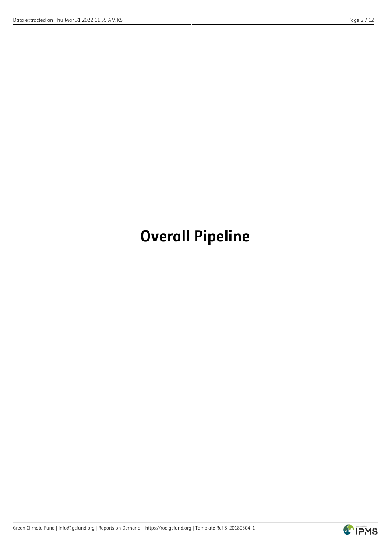## **Overall Pipeline**

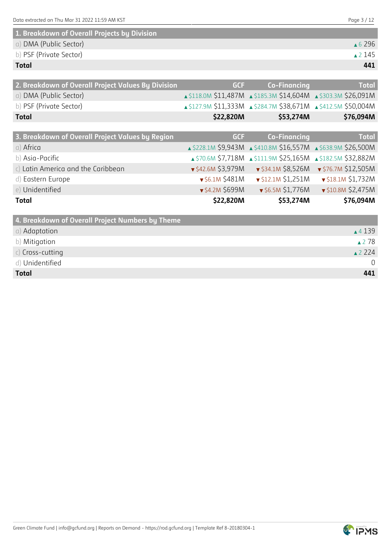| 1 Thu Mar 31 2022 11:59 AM KST<br>Data extracted on Thu | Paae |
|---------------------------------------------------------|------|
|---------------------------------------------------------|------|

| 1. Breakdown of Overall Projects by Division |                   |
|----------------------------------------------|-------------------|
| a) DMA (Public Sector)                       | $\triangle$ 6.296 |
| b) PSF (Private Sector)                      | $\triangle$ 2 145 |
| <b>Total</b>                                 | 441               |

| 2. Breakdown of Overall Project Values By Division | <b>GCF</b>            | <b>Co-Financing</b>                                            | <b>Total</b>             |
|----------------------------------------------------|-----------------------|----------------------------------------------------------------|--------------------------|
| a) DMA (Public Sector)                             |                       | ▲ \$118.0M \$11,487M ▲ \$185.3M \$14,604M ▲ \$303.3M \$26,091M |                          |
| b) PSF (Private Sector)                            |                       | A \$127.9M \$11,333M A \$284.7M \$38,671M A \$412.5M \$50,004M |                          |
| <b>Total</b>                                       | \$22,820M             | \$53,274M                                                      | \$76,094M                |
|                                                    |                       |                                                                |                          |
| 3. Breakdown of Overall Project Values by Region   | <b>GCF</b>            | <b>Co-Financing</b>                                            | <b>Total</b>             |
| a) Africa                                          |                       | ▲ \$228.1M \$9,943M ▲ \$410.8M \$16,557M ▲ \$638.9M \$26,500M  |                          |
| b) Asia-Pacific                                    |                       | ▲ \$70.6M \$7,718M ▲ \$111.9M \$25,165M ▲ \$182.5M \$32,882M   |                          |
| c) Latin America and the Caribbean                 | ▼ \$42.6M \$3,979M    | $\sqrt{534.1M}$ \$8,526M                                       | ▼ \$76.7M \$12,505M      |
| d) Eastern Europe                                  | $\sqrt{56.1M}$ \$481M | $\sqrt{512.1M}$ \$1,251M                                       | $\sqrt{518.1M}$ \$1,732M |
| e) Unidentified                                    | ▼ \$4.2M \$699M       | $\sqrt{56.5M}$ \$1,776M                                        | $\sqrt{510.8M}$ \$2,475M |
| <b>Total</b>                                       | \$22,820M             | \$53,274M                                                      | \$76,094M                |
|                                                    |                       |                                                                |                          |

| 4. Breakdown of Overall Project Numbers by Theme |                   |
|--------------------------------------------------|-------------------|
| a) Adaptation                                    | $\triangle$ 4 139 |
| b) Mitigation                                    | ▲278              |
| $c)$ Cross-cutting                               | $\triangle$ 224   |
| d) Unidentified                                  | $\overline{0}$    |
| <b>Total</b>                                     | 441               |

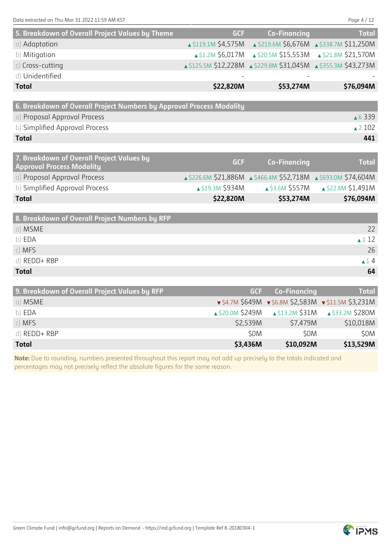| 5. Breakdown of Overall Project Values by Theme                      | <b>GCF</b> | <b>Co-Financing</b>                                              | <b>Total</b>      |
|----------------------------------------------------------------------|------------|------------------------------------------------------------------|-------------------|
| a) Adaptation                                                        |            | 11,250M \$4,575M \$219.6M \$6,676M \$338.7M \$11,250M            |                   |
| b) Mitigation                                                        |            | ▲ \$1.2M \$6,017M <b>4 \$20.5M \$15,553M 4 \$21.8M \$21,570M</b> |                   |
| $c)$ Cross-cutting                                                   |            | ▲ \$125.5M \$12,228M ▲ \$229.8M \$31,045M ▲ \$355.3M \$43,273M   |                   |
| d) Unidentified                                                      |            |                                                                  |                   |
| <b>Total</b>                                                         | \$22,820M  | \$53,274M                                                        | \$76,094M         |
|                                                                      |            |                                                                  |                   |
| 6. Breakdown of Overall Project Numbers by Approval Process Modality |            |                                                                  |                   |
| a) Proposal Approval Process                                         |            |                                                                  | ▲ 6 3 3 9         |
| b) Simplified Approval Process                                       |            |                                                                  | $\triangle$ 2 102 |
| <b>Total</b>                                                         |            |                                                                  | 441               |
|                                                                      |            |                                                                  |                   |

|           | Co-Financing     | <b>Total</b>                                                                                    |
|-----------|------------------|-------------------------------------------------------------------------------------------------|
|           |                  |                                                                                                 |
|           |                  | $\triangle$ \$22.8M \$1,491M                                                                    |
| \$22,820M | \$53,274M        | \$76,094M                                                                                       |
|           | ▲ \$19.3M \$934M | <b>GCF</b><br>A \$226.6M \$21,886M A \$466.4M \$52,718M A \$693.0M \$74,604M<br>▲ \$3.6M \$557M |

| 8. Breakdown of Overall Project Numbers by RFP |                  |
|------------------------------------------------|------------------|
| a) MSME                                        | 22               |
| b) EDA                                         | $\triangle$ 1 12 |
| c) MFS                                         | 26               |
| d) REDD+ RBP                                   | $\triangle$ 14   |
| <b>Total</b>                                   | 64               |

| 9. Breakdown of Overall Project Values by RFP | <b>GCF</b>       | <b>Co-Financing</b>       | <b>Total</b>                                                           |
|-----------------------------------------------|------------------|---------------------------|------------------------------------------------------------------------|
| a) MSME                                       |                  |                           | $\sqrt{54.7M}$ \$649M $\sqrt{56.8M}$ \$2,583M $\sqrt{511.5M}$ \$3,231M |
| b) EDA                                        | ▲ \$20.0M \$249M | $\triangle$ \$13.2M \$31M | ▲ \$33.2M \$280M                                                       |
| $c)$ MFS                                      | \$2,539M         | \$7,479M                  | \$10,018M                                                              |
| $d)$ REDD+ RBP                                | \$0M             | \$0M                      | \$0M                                                                   |
| <b>Total</b>                                  | \$3,436M         | \$10,092M                 | \$13,529M                                                              |

**Note:** Due to rounding, numbers presented throughout this report may not add up precisely to the totals indicated and percentages may not precisely reflect the absolute figures for the same reason.

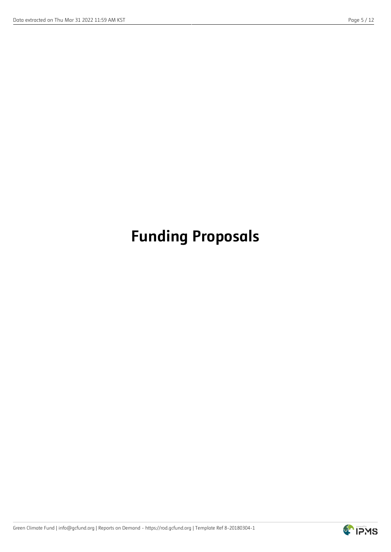## **Funding Proposals**

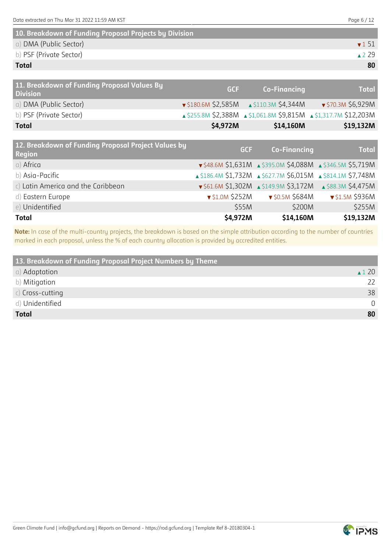| 10. Breakdown of Funding Proposal Projects by Division |                           |
|--------------------------------------------------------|---------------------------|
| a) DMA (Public Sector)                                 | $\blacktriangledown$ 1 51 |
| b) PSF (Private Sector)                                | $\triangle$ 229           |
| <b>Total</b>                                           | 80                        |

| 11. Breakdown of Funding Proposal Values By<br><b>Division</b> | GCF      | <b>Co-Financing</b>                                       | <b>Total</b>                                                     |
|----------------------------------------------------------------|----------|-----------------------------------------------------------|------------------------------------------------------------------|
| a) DMA (Public Sector)                                         |          | $\sqrt{5180.6M}$ \$2,585M $\rightarrow$ \$110.3M \$4,344M | ▼ \$70.3M \$6,929M                                               |
| b) PSF (Private Sector)                                        |          |                                                           | ▲ \$255.8M \$2,388M ▲ \$1,061.8M \$9,815M ▲ \$1,317.7M \$12,203M |
| <b>Total</b>                                                   | \$4,972M | \$14,160M                                                 | \$19,132M                                                        |

| 12. Breakdown of Funding Proposal Project Values by<br><b>Region</b> | <b>GCF</b>            | <b>Co-Financing</b>                                                                  | <b>Total</b>    |
|----------------------------------------------------------------------|-----------------------|--------------------------------------------------------------------------------------|-----------------|
| a) Africa                                                            |                       | $\sqrt{548.6M}$ \$1,631M $\triangle$ \$395.0M \$4,088M $\triangle$ \$346.5M \$5,719M |                 |
| b) Asia-Pacific                                                      |                       | 186.4M \$1,732M 4 \$627.7M \$6,015M 4 \$814.1M \$7,748M                              |                 |
| c) Latin America and the Caribbean                                   |                       | $\sqrt{561.6M}$ \$1,302M $\triangle$ \$149.9M \$3,172M $\triangle$ \$88.3M \$4,475M  |                 |
| d) Eastern Europe                                                    | $\sqrt{51.0M}$ \$252M | $\bullet$ \$0.5M \$684M                                                              | ▼ \$1.5M \$936M |
| e) Unidentified                                                      | \$55M                 | \$200M                                                                               | \$255M          |
| <b>Total</b>                                                         | \$4,972M              | \$14,160M                                                                            | \$19,132M       |

**Note:** In case of the multi-country projects, the breakdown is based on the simple attribution according to the number of countries marked in each proposal, unless the % of each country allocation is provided by accredited entities.

| 13. Breakdown of Funding Proposal Project Numbers by Theme |                  |
|------------------------------------------------------------|------------------|
| a) Adaptation                                              | $\triangle$ 1 20 |
| b) Mitigation                                              | 22               |
| $c)$ Cross-cutting                                         | 38               |
| d) Unidentified                                            | $\Omega$         |
| <b>Total</b>                                               | 80               |

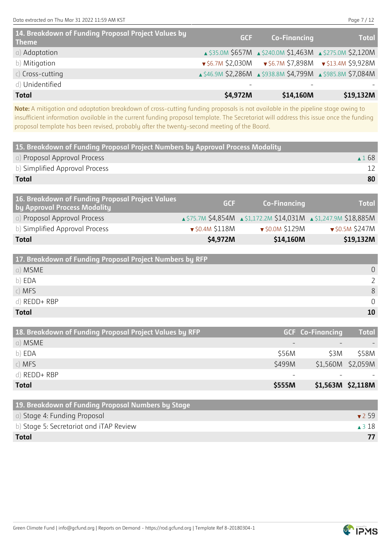**Note:** A mitigation and adaptation breakdown of cross-cutting funding proposals is not available in the pipeline stage owing to insufficient information available in the current funding proposal template. The Secretariat will address this issue once the funding proposal template has been revised, probably after the twenty-second meeting of the Board.

| 15. Breakdown of Funding Proposal Project Numbers by Approval Process Modality   |            |                     |                 |
|----------------------------------------------------------------------------------|------------|---------------------|-----------------|
| a) Proposal Approval Process                                                     |            |                     | $\triangle$ 168 |
| b) Simplified Approval Process                                                   |            |                     |                 |
| <b>Total</b>                                                                     |            |                     | 80              |
|                                                                                  |            |                     |                 |
| 16. Breakdown of Funding Proposal Project Values<br>by Approval Process Modality | <b>GCF</b> | <b>Co-Financing</b> | <b>Total</b>    |

| <b>Total</b>                                 | \$4,972M                | \$14,160M                                                                                      | \$19,132M               |
|----------------------------------------------|-------------------------|------------------------------------------------------------------------------------------------|-------------------------|
| b) Simplified Approval Process               | $\bullet$ \$0.4M \$118M | $\blacktriangledown$ \$0.0M \$129M                                                             | $\bullet$ \$0.5M \$247M |
| a) Proposal Approval Process                 |                         | $\triangle$ \$75.7M \$4,854M $\triangle$ \$1,172.2M \$14,031M $\triangle$ \$1,247.9M \$18,885M |                         |
| $\sim$ - Dy opprover rives in the product of |                         |                                                                                                |                         |

| 17. Breakdown of Funding Proposal Project Numbers by RFP |          |
|----------------------------------------------------------|----------|
| a) MSME                                                  | $\Omega$ |
| b) EDA                                                   |          |
| c) MFS                                                   | 8        |
| $d)$ REDD+ RBP                                           |          |
| <b>Total</b>                                             | 10       |

| 18. Breakdown of Funding Proposal Project Values by RFP |                          | <b>GCF Co-Financing</b> | <b>Total</b>      |
|---------------------------------------------------------|--------------------------|-------------------------|-------------------|
| a) MSME                                                 | $\overline{\phantom{m}}$ |                         |                   |
| b) EDA                                                  | \$56M                    | S3M                     | \$58M             |
| $c)$ MFS                                                | \$499M                   |                         | \$1,560M \$2,059M |
| d) REDD+ RBP                                            | $\overline{\phantom{m}}$ |                         |                   |
| <b>Total</b>                                            | \$555M                   | \$1,563M \$2,118M       |                   |

| 19. Breakdown of Funding Proposal Numbers by Stage |                  |
|----------------------------------------------------|------------------|
| a) Stage 4: Funding Proposal                       | 759              |
| b) Stage 5: Secretariat and iTAP Review            | $\triangle$ 3 18 |
| <b>Total</b>                                       |                  |

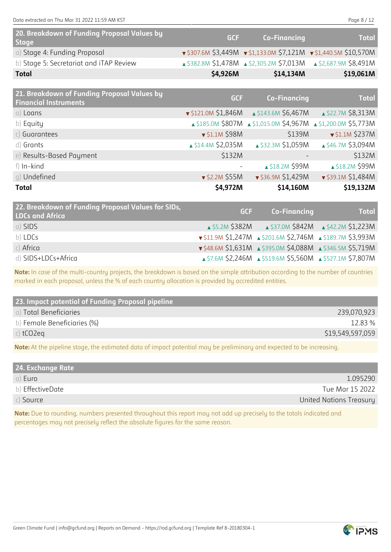Data extracted on Thu Mar 31 2022 11:59 AM KST Page 8 / 12

| 20. Breakdown of Funding Proposal Values by<br><b>Stage</b> | <b>GCF</b> | <b>Co-Financing</b>   | <b>Total</b>                                                                       |
|-------------------------------------------------------------|------------|-----------------------|------------------------------------------------------------------------------------|
| a) Stage 4: Funding Proposal                                |            |                       | $\sqrt{5307.6M}$ \$3,449M $\sqrt{51,133.0M}$ \$7,121M $\sqrt{51,440.5M}$ \$10,570M |
| b) Stage 5: Secretariat and iTAP Review                     |            |                       | ▲ \$382.8M \$1,478M ▲ \$2,305.2M \$7,013M ▲ \$2,687.9M \$8,491M                    |
| Total                                                       | \$4,926M   | \$14,134M             | \$19,061M                                                                          |
|                                                             |            |                       |                                                                                    |
| 21. Breakdown of Funding Proposal Values by                 | C C F L    | <b>Co. Financipes</b> | <b>The Council</b>                                                                 |

| <b>Ext.</b> Bicanaowii of Fallanig Froposal Valacs by<br><b>Financial Instruments</b> | <b>GCF</b>                        | <b>Co-Financing</b>                                           | <b>Total</b>             |
|---------------------------------------------------------------------------------------|-----------------------------------|---------------------------------------------------------------|--------------------------|
| a) Loans                                                                              |                                   | $\sqrt{5121.0M}$ \$1,846M $\triangle$ \$143.6M \$6,467M       | ▲ \$22.7M \$8,313M       |
| b) Equity                                                                             |                                   | ▲ \$185.0M \$807M ▲ \$1,015.0M \$4,967M ▲ \$1,200.0M \$5,773M |                          |
| c) Guarantees                                                                         | $\blacktriangledown$ \$1.1M \$98M | \$139M                                                        | $\sqrt{51.1M}$ \$237M    |
| d) Grants                                                                             | $\triangle$ \$14.4M \$2,035M      | ▲ \$32.3M \$1,059M                                            | ▲ \$46.7M \$3,094M       |
| e) Results-Based Payment                                                              | \$132M                            |                                                               | \$132M                   |
| f) In-kind                                                                            |                                   | ▲ \$18.2M \$99M                                               | ▲ \$18.2M \$99M          |
| q) Undefined                                                                          | $\sqrt{52.2M}$ \$55M              | ▼ \$36.9M \$1,429M                                            | $\sqrt{539.1M}$ \$1,484M |
| <b>Total</b>                                                                          | \$4,972M                          | \$14,160M                                                     | \$19,132M                |

| 22. Breakdown of Funding Proposal Values for SIDs,<br><b>LDCs and Africa</b> | <b>GCF</b> | Co-Financing                                                                         | <b>Total</b> |
|------------------------------------------------------------------------------|------------|--------------------------------------------------------------------------------------|--------------|
| a) SIDS                                                                      |            | <b>A \$5.2M \$382M 4 \$37.0M \$842M 4 \$42.2M \$1,223M</b>                           |              |
| b) LDCs                                                                      |            | $\sqrt{511.9M}$ \$1,247M $\triangle$ \$201.6M \$2,746M $\triangle$ \$189.7M \$3,993M |              |
| $c)$ Africa                                                                  |            | ▼\$48.6M \$1,631M ▲ \$395.0M \$4,088M ▲ \$346.5M \$5,719M                            |              |
| d) SIDS+LDCs+Africa                                                          |            | ▲ \$7.6M \$2,246M ▲ \$519.6M \$5,560M ▲ \$527.1M \$7,807M                            |              |

**Note:** In case of the multi-country projects, the breakdown is based on the simple attribution according to the number of countries marked in each proposal, unless the % of each country allocation is provided by accredited entities.

| 23. Impact potential of Funding Proposal pipeline |                  |
|---------------------------------------------------|------------------|
| a) Total Beneficiaries                            | 239,070,923      |
| b) Female Beneficiaries (%)                       | 12.83 %          |
| c) $tCO2eq$                                       | \$19,549,597,059 |

**Note:** At the pipeline stage, the estimated data of impact potential may be preliminary and expected to be increasing.

| 24. Exchange Rate |                         |
|-------------------|-------------------------|
| a) Euro           | 1.095290                |
| b) EffectiveDate  | Tue Mar 15 2022         |
| c) Source         | United Nations Treasury |

**Note:** Due to rounding, numbers presented throughout this report may not add up precisely to the totals indicated and percentages may not precisely reflect the absolute figures for the same reason.

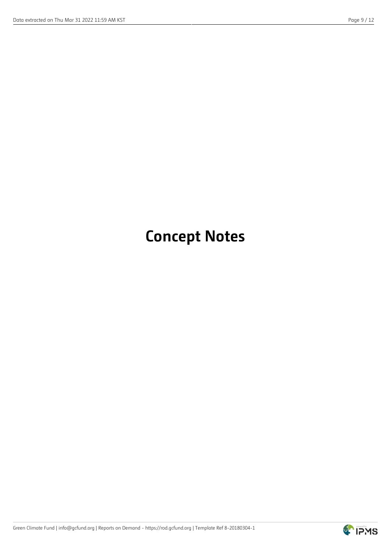## **Concept Notes**

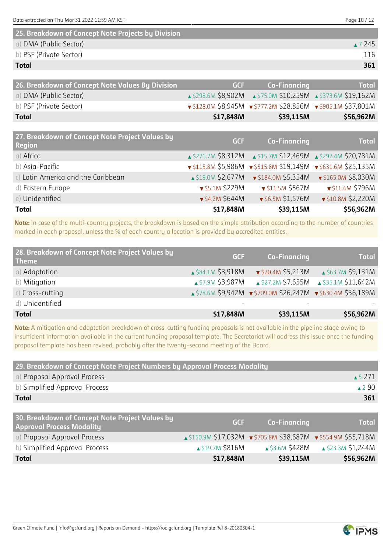| 25. Breakdown of Concept Note Projects by Division |         |
|----------------------------------------------------|---------|
| a) DMA (Public Sector)                             | ▲ 7 245 |
| b) PSF (Private Sector)                            | 116     |
| <b>Total</b>                                       | 361     |

| 26. Breakdown of Concept Note Values By Division                 | <b>GCF</b> | <b>Co-Financing</b>                                           | <b>Total</b> |
|------------------------------------------------------------------|------------|---------------------------------------------------------------|--------------|
| a) DMA (Public Sector)                                           |            | A \$298.6M \$8,902M A \$75.0M \$10,259M A \$373.6M \$19,162M  |              |
| b) PSF (Private Sector)                                          |            | ▼ \$128.0M \$8,945M ▼ \$777.2M \$28,856M ▼ \$905.1M \$37,801M |              |
| <b>Total</b>                                                     | \$17,848M  | \$39,115M                                                     | \$56,962M    |
|                                                                  |            |                                                               |              |
| 27. Breakdown of Concept Note Project Values by<br><b>Region</b> | <b>GCF</b> | <b>Co-Financing</b>                                           | <b>Total</b> |

| <b>Total</b>                       | \$17,848M             | \$39,115M                                                                      | \$56,962M          |
|------------------------------------|-----------------------|--------------------------------------------------------------------------------|--------------------|
| e) Unidentified                    | ▼ \$4.2M \$644M       | $\sqrt{56.5M}$ \$1,576M                                                        | ▼ \$10.8M \$2,220M |
| d) Eastern Europe                  | $\sqrt{55.1M}$ \$229M | $\sqrt{511.5M}$ \$567M                                                         | ▼ \$16.6M \$796M   |
| c) Latin America and the Caribbean |                       |                                                                                |                    |
| b) Asia-Pacific                    |                       | $\sqrt{5115.8M}$ \$5,986M $\sqrt{515.8M}$ \$19,149M $\sqrt{5631.6M}$ \$25,135M |                    |
| a) Africa                          |                       | A \$276.7M \$8,312M A \$15.7M \$12,469M A \$292.4M \$20,781M                   |                    |

**Note:** In case of the multi-country projects, the breakdown is based on the simple attribution according to the number of countries marked in each proposal, unless the % of each country allocation is provided by accredited entities.

| 28. Breakdown of Concept Note Project Values by<br><b>Theme</b> | <b>GCF</b>                   | <b>Co-Financing</b>      | <b>Total</b>                                                 |
|-----------------------------------------------------------------|------------------------------|--------------------------|--------------------------------------------------------------|
| a) Adaptation                                                   | $\triangle$ \$84.1M \$3,918M | $\sqrt{520.4M}$ \$5,213M | ▲ \$63.7M \$9,131M                                           |
| b) Mitigation                                                   | ▲ \$7.9M \$3,987M            | ▲ \$27.2M \$7,655M       | ▲ \$35.1M \$11,642M                                          |
| $c)$ Cross-cutting                                              |                              |                          | ▲ \$78.6M \$9,942M • \$709.0M \$26,247M • \$630.4M \$36,189M |
| d) Unidentified                                                 |                              |                          |                                                              |
| <b>Total</b>                                                    | \$17,848M                    | \$39,115M                | \$56,962M                                                    |

**Note:** A mitigation and adaptation breakdown of cross-cutting funding proposals is not available in the pipeline stage owing to insufficient information available in the current funding proposal template. The Secretariat will address this issue once the funding proposal template has been revised, probably after the twenty-second meeting of the Board.

| 29. Breakdown of Concept Note Project Numbers by Approval Process Modality          |                  |                                                                |                                           |
|-------------------------------------------------------------------------------------|------------------|----------------------------------------------------------------|-------------------------------------------|
| a) Proposal Approval Process                                                        |                  |                                                                | $\triangle$ 5 271                         |
| b) Simplified Approval Process                                                      |                  |                                                                | ▲290                                      |
| <b>Total</b>                                                                        |                  |                                                                | 361                                       |
|                                                                                     |                  |                                                                |                                           |
| 30. Breakdown of Concept Note Project Values by<br><b>Approval Process Modality</b> | <b>GCF</b>       | <b>Co-Financing</b>                                            | <b>Total</b>                              |
| a) Proposal Approval Process                                                        |                  | ▲ \$150.9M \$17,032M v \$705.8M \$38,687M v \$554.9M \$55,718M |                                           |
| b) Simplified Approval Process                                                      | ▲ \$19.7M \$816M |                                                                | ▲ \$3.6M \$428M <b>△</b> \$23.3M \$1,244M |
| <b>Total</b>                                                                        | \$17,848M        | \$39,115M                                                      | \$56,962M                                 |

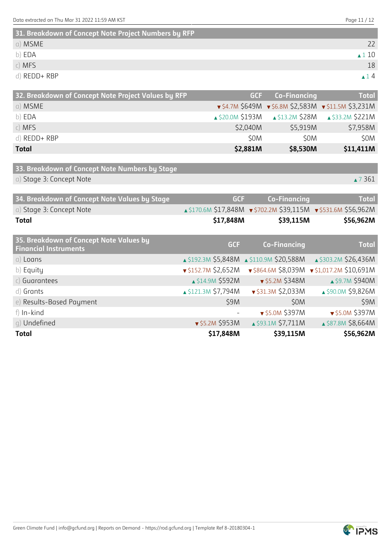**31. Breakdown of Concept Note Project Numbers by RFP**

| <b>SL. DIEGKOOWN OF CONCEPT NOTE PROJECT NUMBERS BY KFP</b> |                       |
|-------------------------------------------------------------|-----------------------|
| a) MSME                                                     |                       |
| b) EDA                                                      | $\blacktriangle$ 1 10 |
| $c)$ MFS                                                    | 18                    |
| d) REDD+ RBP                                                | $\blacktriangle$ 14   |

| 32. Breakdown of Concept Note Project Values by RFP |          | <b>GCF</b> Co-Financing | <b>Total</b>                                                           |
|-----------------------------------------------------|----------|-------------------------|------------------------------------------------------------------------|
| a) MSME                                             |          |                         | $\sqrt{54.7M}$ \$649M $\sqrt{56.8M}$ \$2,583M $\sqrt{511.5M}$ \$3,231M |
| b) EDA                                              |          |                         | ▲ \$20.0M \$193M <b>4 \$13.2M \$28M 4 \$33.2M \$221M</b>               |
| $c)$ MFS                                            | \$2,040M | \$5,919M                | \$7,958M                                                               |
| d) REDD+ RBP                                        | \$0M     | \$0M                    | \$0M                                                                   |
| <b>Total</b>                                        | \$2,881M | \$8,530M                | \$11,411M                                                              |

```
33. Breakdown of Concept Note Numbers by Stage
a) Stage 3: Concept Note \blacksquare 7 361
```
**34. Breakdown of Concept Note Values by Stage GCF Co-Financing Total** a) Stage 3: Concept Note \$170.6M \$17,848M \$702.2M \$39,115M \$5531.6M \$56,962M **Total \$17,848M \$39,115M \$56,962M 35. Breakdown of Concept Note Values by Financial Instruments GCF Co-Financing Total** a) Loans  $\overline{18}$  bases  $\overline{19}$  and  $\overline{19}$  and  $\overline{19}$  and  $\overline{19}$  and  $\overline{19}$  and  $\overline{19}$  and  $\overline{19}$  and  $\overline{19}$  and  $\overline{19}$  and  $\overline{19}$  and  $\overline{19}$  and  $\overline{19}$  and  $\overline{19}$  and  $\overline{19}$  and b) Equity  $\sqrt{5152.7M}$  \$2,652M  $\sqrt{5864.6M}$  \$8,039M  $\sqrt{51017.2M}$  \$10,691M c) Guarantees  $\Box$  S14.9M \$592M  $\Box$  \$5.2M \$348M  $\Box$  \$9.7M \$940M d) Grants **121.3M \$7,794M**  $\bullet$  \$31.3M \$2,033M  $\bullet$  \$90.0M \$9,826M e) Results-Based Payment \$9M \$0M \$9M f) In-kind - \$5.0M \$397M \$5.0M \$397M g) Undefined ▲ \$87.8M \$8,664M \$95.2M \$953M **4 \$93.1M \$7,711M** \$87.8M \$8,664M **Total \$17,848M \$39,115M \$56,962M**